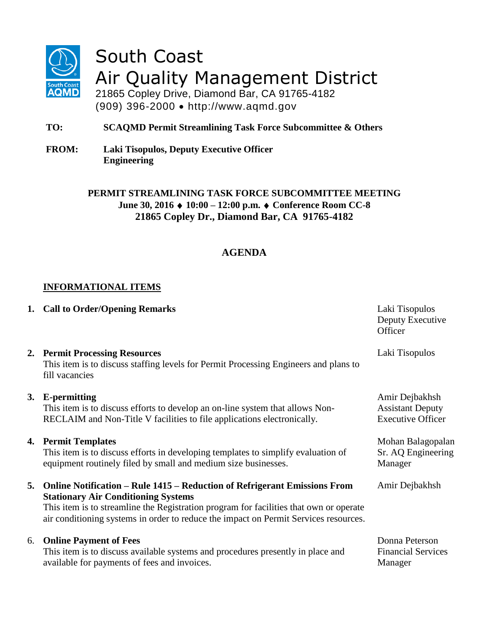

# South Coast Air Quality Management District

21865 Copley Drive, Diamond Bar, CA 91765-4182 (909) 396-2000 http://www.aqmd.gov

**TO: SCAQMD Permit Streamlining Task Force Subcommittee & Others**

**FROM: Laki Tisopulos, Deputy Executive Officer Engineering** 

> **PERMIT STREAMLINING TASK FORCE SUBCOMMITTEE MEETING June 30, 2016 10:00 – 12:00 p.m. Conference Room CC-8 21865 Copley Dr., Diamond Bar, CA 91765-4182**

## **AGENDA**

### **INFORMATIONAL ITEMS**

|    | 1. Call to Order/Opening Remarks                                                                                                                                                                                                                                                                          | Laki Tisopulos<br>Deputy Executive<br>Officer                         |
|----|-----------------------------------------------------------------------------------------------------------------------------------------------------------------------------------------------------------------------------------------------------------------------------------------------------------|-----------------------------------------------------------------------|
|    | 2. Permit Processing Resources<br>This item is to discuss staffing levels for Permit Processing Engineers and plans to<br>fill vacancies                                                                                                                                                                  | Laki Tisopulos                                                        |
| 3. | E-permitting<br>This item is to discuss efforts to develop an on-line system that allows Non-<br>RECLAIM and Non-Title V facilities to file applications electronically.                                                                                                                                  | Amir Dejbakhsh<br><b>Assistant Deputy</b><br><b>Executive Officer</b> |
|    | 4. Permit Templates<br>This item is to discuss efforts in developing templates to simplify evaluation of<br>equipment routinely filed by small and medium size businesses.                                                                                                                                | Mohan Balagopalan<br>Sr. AQ Engineering<br>Manager                    |
| 5. | Online Notification – Rule 1415 – Reduction of Refrigerant Emissions From<br><b>Stationary Air Conditioning Systems</b><br>This item is to streamline the Registration program for facilities that own or operate<br>air conditioning systems in order to reduce the impact on Permit Services resources. | Amir Dejbakhsh                                                        |
| 6. | <b>Online Payment of Fees</b><br>This item is to discuss available systems and procedures presently in place and<br>available for payments of fees and invoices.                                                                                                                                          | Donna Peterson<br><b>Financial Services</b><br>Manager                |